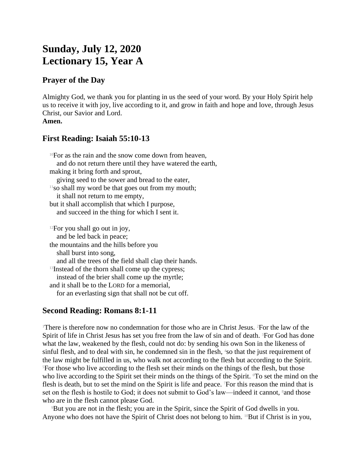# **Sunday, July 12, 2020 Lectionary 15, Year A**

# **Prayer of the Day**

Almighty God, we thank you for planting in us the seed of your word. By your Holy Spirit help us to receive it with joy, live according to it, and grow in faith and hope and love, through Jesus Christ, our Savior and Lord. **Amen.**

### **First Reading: Isaiah 55:10-13**

 $10$ For as the rain and the snow come down from heaven. and do not return there until they have watered the earth, making it bring forth and sprout, giving seed to the sower and bread to the eater, <sup>11</sup>so shall my word be that goes out from my mouth; it shall not return to me empty, but it shall accomplish that which I purpose, and succeed in the thing for which I sent it.  $12$ For you shall go out in joy, and be led back in peace; the mountains and the hills before you shall burst into song, and all the trees of the field shall clap their hands. <sup>13</sup>Instead of the thorn shall come up the cypress; instead of the brier shall come up the myrtle; and it shall be to the LORD for a memorial, for an everlasting sign that shall not be cut off.

# **Second Reading: Romans 8:1-11**

<sup>1</sup>There is therefore now no condemnation for those who are in Christ Jesus.  ${}^{2}$ For the law of the Spirit of life in Christ Jesus has set you free from the law of sin and of death. <sup>3</sup>For God has done what the law, weakened by the flesh, could not do: by sending his own Son in the likeness of sinful flesh, and to deal with sin, he condemned sin in the flesh, 4so that the just requirement of the law might be fulfilled in us, who walk not according to the flesh but according to the Spirit. <sup>5</sup>For those who live according to the flesh set their minds on the things of the flesh, but those who live according to the Spirit set their minds on the things of the Spirit. To set the mind on the flesh is death, but to set the mind on the Spirit is life and peace. 7For this reason the mind that is set on the flesh is hostile to God; it does not submit to God's law—indeed it cannot,  $^8$  and those who are in the flesh cannot please God.

<sup>9</sup>But you are not in the flesh; you are in the Spirit, since the Spirit of God dwells in you. Anyone who does not have the Spirit of Christ does not belong to him. <sup>10</sup>But if Christ is in you,